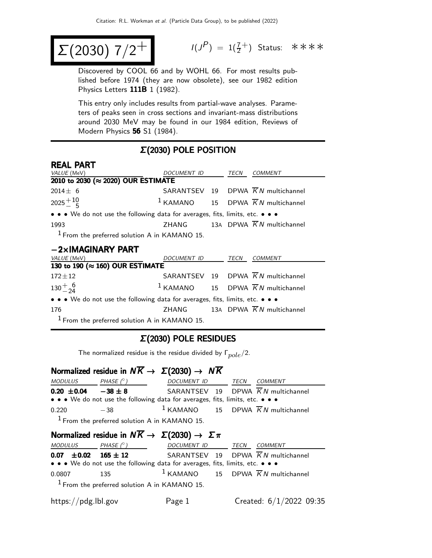$$
\Sigma(2030) 7/2^+
$$

$$
I(J^P) = 1(\frac{7}{2}^+) \quad \text{Status:} \quad \text{*} \quad \text{*} \quad \text{*} \quad \text{*}
$$

Discovered by COOL 66 and by WOHL 66. For most results published before 1974 (they are now obsolete), see our 1982 edition Physics Letters 111B 1 (1982).

This entry only includes results from partial-wave analyses. Parameters of peaks seen in cross sections and invariant-mass distributions around 2030 MeV may be found in our 1984 edition, Reviews of Modern Physics 56 S1 (1984).

### Σ(2030) POLE POSITION

| <b>REAL PART</b>                                                              |             |      |                                                          |
|-------------------------------------------------------------------------------|-------------|------|----------------------------------------------------------|
| VALUE (MeV)                                                                   | DOCUMENT ID | TECN | COMMENT                                                  |
| 2010 to 2030 (≈ 2020) OUR ESTIMATE                                            |             |      |                                                          |
| $2014 \pm 6$                                                                  |             |      | SARANTSEV 19 DPWA $\overline{K}N$ multichannel           |
| $2025 + 10$                                                                   |             |      | <sup>1</sup> KAMANO 15 DPWA $\overline{K}N$ multichannel |
| • • • We do not use the following data for averages, fits, limits, etc. • • • |             |      |                                                          |
| 1993                                                                          |             |      | ZHANG 13A DPWA $\overline{K}N$ multichannel              |
| $1$ From the preferred solution A in KAMANO 15.                               |             |      |                                                          |
| $-2\times$ IMAGINARY PART                                                     |             |      |                                                          |

| <i>VALUE</i> (MeV)                                                            | DOCUMENT ID |  | TECN | <i>COMMENT</i>                                  |  |  |
|-------------------------------------------------------------------------------|-------------|--|------|-------------------------------------------------|--|--|
| 130 to 190 ( $\approx$ 160) OUR ESTIMATE                                      |             |  |      |                                                 |  |  |
| $172 \pm 12$                                                                  |             |  |      | SARANTSEV 19 DPWA $\overline{K}N$ multichannel  |  |  |
| $130^{+}_{-24}$                                                               |             |  |      | $1$ KAMANO 15 DPWA $\overline{K}N$ multichannel |  |  |
| • • • We do not use the following data for averages, fits, limits, etc. • • • |             |  |      |                                                 |  |  |
| 176                                                                           |             |  |      | ZHANG 13A DPWA $\overline{K}N$ multichannel     |  |  |
| $1$ From the preferred solution A in KAMANO 15.                               |             |  |      |                                                 |  |  |

#### Σ(2030) POLE RESIDUES

The normalized residue is the residue divided by  $\Gamma_{pole}/2$ .

#### Normalized residue in  $N\overline{K} \rightarrow \Sigma(2030) \rightarrow N\overline{K}$ <br>MODULUS  $N$

| MUDULUS                   | PHASE (")                                                                     | DOCUMENTID IECN COMMENT                         |  |
|---------------------------|-------------------------------------------------------------------------------|-------------------------------------------------|--|
| $0.20 \pm 0.04 -38 \pm 8$ |                                                                               | SARANTSEV 19 DPWA $\overline{K}N$ multichannel  |  |
|                           | • • • We do not use the following data for averages, fits, limits, etc. • • • |                                                 |  |
| 0.220                     | $-38$                                                                         | $1$ KAMANO 15 DPWA $\overline{K}N$ multichannel |  |
|                           | $1$ From the preferred solution A in KAMANO 15.                               |                                                 |  |

## Normalized residue in  $N\overline{K} \to \Sigma(2030) \to \Sigma \pi$

| <i>MODULUS</i>                                                                |  | PHASE ( $^\circ$ )               | DOCUMENT ID TECN |  |  | <i>COMMENT</i>                                  |
|-------------------------------------------------------------------------------|--|----------------------------------|------------------|--|--|-------------------------------------------------|
|                                                                               |  | $0.07 \pm 0.02 \quad 165 \pm 12$ |                  |  |  | SARANTSEV 19 DPWA $\overline{K}N$ multichannel  |
| • • • We do not use the following data for averages, fits, limits, etc. • • • |  |                                  |                  |  |  |                                                 |
| 0.0807                                                                        |  | 135                              |                  |  |  | $1$ KAMANO 15 DPWA $\overline{K}N$ multichannel |
| $1$ From the preferred solution A in KAMANO 15.                               |  |                                  |                  |  |  |                                                 |

| https://pdg.lbl.gov | Page 1 | Created: $6/1/2022$ 09:35 |  |  |
|---------------------|--------|---------------------------|--|--|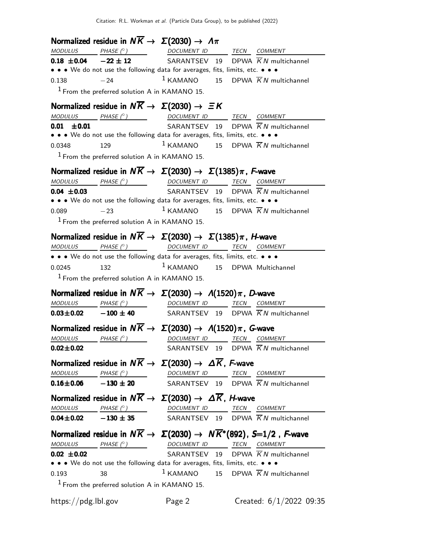|                            | Normalized residue in $N\overline{K} \rightarrow \Sigma(2030) \rightarrow \Lambda \pi$                                                                                                                                                                                                                                                                                                                                                                                    |                          |                                                                                                                                                                                                                                                                                                                                                                                                                                                                          |
|----------------------------|---------------------------------------------------------------------------------------------------------------------------------------------------------------------------------------------------------------------------------------------------------------------------------------------------------------------------------------------------------------------------------------------------------------------------------------------------------------------------|--------------------------|--------------------------------------------------------------------------------------------------------------------------------------------------------------------------------------------------------------------------------------------------------------------------------------------------------------------------------------------------------------------------------------------------------------------------------------------------------------------------|
|                            | $\begin{array}{ccccccccc}\textit{MODULUS} & \textit{PHASE}& @ & \textit{DOCUMENT} & \textit{ID} & \textit{TECN} & \textit{COMMENT} & \textit{ONMENT} & \textit{ONMENT} & \textit{ONMENT} & \textit{ONMENT} & \textit{ONMENT} & \textit{ONMENT} & \textit{ONMENT} & \textit{ONMENT} & \textit{ONMENT} & \textit{ONMENT} & \textit{ONMENT} & \textit{ONMENT} & \textit{ONMENT} & \textit{ONMENT} & \textit{ONMENT} & \textit{ONMENT} & \textit{ONMENT} & \textit{ONMENT} &$ |                          |                                                                                                                                                                                                                                                                                                                                                                                                                                                                          |
|                            |                                                                                                                                                                                                                                                                                                                                                                                                                                                                           |                          | <b>0.18 ±0.04</b> $-22 \pm 12$ SARANTSEV 19 DPWA $\overline{K}N$ multichannel                                                                                                                                                                                                                                                                                                                                                                                            |
|                            | • • • We do not use the following data for averages, fits, limits, etc. • • •                                                                                                                                                                                                                                                                                                                                                                                             |                          |                                                                                                                                                                                                                                                                                                                                                                                                                                                                          |
| 0.138                      | $-24$                                                                                                                                                                                                                                                                                                                                                                                                                                                                     |                          | $1$ KAMANO 15 DPWA $\overline{K}N$ multichannel                                                                                                                                                                                                                                                                                                                                                                                                                          |
|                            | $1$ From the preferred solution A in KAMANO 15.                                                                                                                                                                                                                                                                                                                                                                                                                           |                          |                                                                                                                                                                                                                                                                                                                                                                                                                                                                          |
|                            | Normalized residue in $N\overline{K} \rightarrow \Sigma(2030) \rightarrow \Xi K$                                                                                                                                                                                                                                                                                                                                                                                          |                          |                                                                                                                                                                                                                                                                                                                                                                                                                                                                          |
|                            | $\begin{array}{ccc}\textit{MODULUS} & \textit{PHASE (}^{\circ}) & \textit{DOCUMENT ID} & \textit{TECN} & \textit{COMMENT} \\ \end{array}$                                                                                                                                                                                                                                                                                                                                 |                          |                                                                                                                                                                                                                                                                                                                                                                                                                                                                          |
| $0.01 \pm 0.01$            |                                                                                                                                                                                                                                                                                                                                                                                                                                                                           |                          | SARANTSEV 19 DPWA $\overline{K}N$ multichannel                                                                                                                                                                                                                                                                                                                                                                                                                           |
|                            | • • • We do not use the following data for averages, fits, limits, etc. • • •                                                                                                                                                                                                                                                                                                                                                                                             |                          |                                                                                                                                                                                                                                                                                                                                                                                                                                                                          |
| 0.0348                     | 129                                                                                                                                                                                                                                                                                                                                                                                                                                                                       |                          | <sup>1</sup> KAMANO 15 DPWA $\overline{K}N$ multichannel                                                                                                                                                                                                                                                                                                                                                                                                                 |
|                            | $1$ From the preferred solution A in KAMANO 15.                                                                                                                                                                                                                                                                                                                                                                                                                           |                          |                                                                                                                                                                                                                                                                                                                                                                                                                                                                          |
|                            | Normalized residue in $N\overline{K} \to \Sigma(2030) \to \Sigma(1385)\pi$ , F-wave                                                                                                                                                                                                                                                                                                                                                                                       |                          |                                                                                                                                                                                                                                                                                                                                                                                                                                                                          |
|                            | $\underline{\textit{MODULUS}} \qquad \qquad \underline{\textit{PHASE}(^{\circ}) \qquad \qquad \qquad \underline{\textit{DOCUMENT ID}} \qquad \qquad \underline{\textit{TECN}} \quad \underline{\textit{COMMENT}}$                                                                                                                                                                                                                                                         |                          |                                                                                                                                                                                                                                                                                                                                                                                                                                                                          |
| $0.04 \pm 0.03$            |                                                                                                                                                                                                                                                                                                                                                                                                                                                                           |                          | SARANTSEV 19 DPWA $\overline{K}N$ multichannel                                                                                                                                                                                                                                                                                                                                                                                                                           |
|                            | • • • We do not use the following data for averages, fits, limits, etc. • • •                                                                                                                                                                                                                                                                                                                                                                                             |                          |                                                                                                                                                                                                                                                                                                                                                                                                                                                                          |
| 0.089                      | $-23$                                                                                                                                                                                                                                                                                                                                                                                                                                                                     |                          | $1$ KAMANO 15 DPWA $\overline{K}N$ multichannel                                                                                                                                                                                                                                                                                                                                                                                                                          |
|                            | $1$ From the preferred solution A in KAMANO 15.                                                                                                                                                                                                                                                                                                                                                                                                                           |                          |                                                                                                                                                                                                                                                                                                                                                                                                                                                                          |
|                            | Normalized residue in $N\overline{K} \to \Sigma(2030) \to \Sigma(1385)\pi$ , <i>H</i> -wave                                                                                                                                                                                                                                                                                                                                                                               |                          |                                                                                                                                                                                                                                                                                                                                                                                                                                                                          |
| <b>MODULUS</b>             | PHASE (° ) DOCUMENT ID TECN COMMENT                                                                                                                                                                                                                                                                                                                                                                                                                                       |                          |                                                                                                                                                                                                                                                                                                                                                                                                                                                                          |
|                            | • • • We do not use the following data for averages, fits, limits, etc. • • •                                                                                                                                                                                                                                                                                                                                                                                             |                          |                                                                                                                                                                                                                                                                                                                                                                                                                                                                          |
| 0.0245                     | 132                                                                                                                                                                                                                                                                                                                                                                                                                                                                       |                          | $1$ KAMANO $15$ DPWA Multichannel                                                                                                                                                                                                                                                                                                                                                                                                                                        |
|                            | <sup>1</sup> From the preferred solution A in KAMANO 15.                                                                                                                                                                                                                                                                                                                                                                                                                  |                          |                                                                                                                                                                                                                                                                                                                                                                                                                                                                          |
|                            | Normalized residue in $N\overline{K} \to \Sigma(2030) \to \Lambda(1520)\pi$ , D-wave                                                                                                                                                                                                                                                                                                                                                                                      |                          |                                                                                                                                                                                                                                                                                                                                                                                                                                                                          |
|                            | $\begin{array}{ccc}\textit{MODULUS} & \quad \textit{PHASE (}^{\circ}\textit{)} & \quad \textit{DOCUMENT ID} & \quad \textit{TECN} \quad \textit{COMMENT} \\ \end{array}$                                                                                                                                                                                                                                                                                                  |                          |                                                                                                                                                                                                                                                                                                                                                                                                                                                                          |
|                            |                                                                                                                                                                                                                                                                                                                                                                                                                                                                           |                          | <b>0.03±0.02</b> - 100 ± 40 SARANTSEV 19 DPWA $\overline{K}N$ multichannel                                                                                                                                                                                                                                                                                                                                                                                               |
|                            | Normalized residue in $N\overline{K} \to \Sigma(2030) \to \Lambda(1520)\pi$ , G-wave                                                                                                                                                                                                                                                                                                                                                                                      |                          |                                                                                                                                                                                                                                                                                                                                                                                                                                                                          |
| $MODULUS$ PHASE $(^\circ)$ |                                                                                                                                                                                                                                                                                                                                                                                                                                                                           | DOCUMENT ID TECN COMMENT |                                                                                                                                                                                                                                                                                                                                                                                                                                                                          |
| $0.02 \pm 0.02$            |                                                                                                                                                                                                                                                                                                                                                                                                                                                                           |                          | SARANTSEV 19 DPWA $\overline{K}N$ multichannel                                                                                                                                                                                                                                                                                                                                                                                                                           |
|                            | Normalized residue in $N\overline{K} \to \Sigma(2030) \to \Delta \overline{K}$ , F-wave                                                                                                                                                                                                                                                                                                                                                                                   |                          |                                                                                                                                                                                                                                                                                                                                                                                                                                                                          |
|                            | $\begin{array}{ccccccccc}\textit{MODULUS} & \textit{PHASE (}^{\circ}) & \textit{} & \textit{DOCUMENT ID} & \textit{TECN} & \textit{COMMENT} & \textit{} & \textit{} & \textit{} & \textit{} & \textit{} & \textit{} & \textit{} & \textit{} & \textit{} & \textit{} & \textit{} & \textit{} & \textit{} & \textit{} & \textit{} & \textit{} & \textit{} & \textit{} & \textit{} & \textit{} & \textit{} & \textit{} & \textit{} & \textit{} & \textit{} & \textit{} & \$  |                          |                                                                                                                                                                                                                                                                                                                                                                                                                                                                          |
|                            | $0.16 \pm 0.06$ $-130 \pm 20$                                                                                                                                                                                                                                                                                                                                                                                                                                             |                          | SARANTSEV 19 DPWA $\overline{K}N$ multichannel                                                                                                                                                                                                                                                                                                                                                                                                                           |
|                            | Normalized residue in $N\overline{K} \to \Sigma(2030) \to \Delta \overline{K}$ , <i>H</i> -wave                                                                                                                                                                                                                                                                                                                                                                           |                          |                                                                                                                                                                                                                                                                                                                                                                                                                                                                          |
|                            | $\begin{array}{ccc}\textit{MODULUS} & \textit{PHASE (}^{\circ}) & \textit{DOCUMENT ID} & \textit{TECN} & \textit{COMMENT} \end{array}$                                                                                                                                                                                                                                                                                                                                    |                          |                                                                                                                                                                                                                                                                                                                                                                                                                                                                          |
|                            | $0.04 \pm 0.02$ $-130 \pm 35$                                                                                                                                                                                                                                                                                                                                                                                                                                             |                          | SARANTSEV 19 DPWA $\overline{K}N$ multichannel                                                                                                                                                                                                                                                                                                                                                                                                                           |
|                            |                                                                                                                                                                                                                                                                                                                                                                                                                                                                           |                          | Normalized residue in $N\overline{K} \to \Sigma(2030) \to N\overline{K}^*(892)$ , S=1/2, F-wave                                                                                                                                                                                                                                                                                                                                                                          |
|                            |                                                                                                                                                                                                                                                                                                                                                                                                                                                                           |                          | $\begin{array}{ccccccccc} \textit{MODULUS} & \textit{PHASE (}^{\circ}) & \textit{DOCUMENT ID} & \textit{TECN} & \textit{COMMENT} & \textit{IMADIST} & \textit{OMMENT} & \textit{OMMENT} & \textit{OMMENT} & \textit{OMMENT} & \textit{OMMENT} & \textit{OMMENT} & \textit{OMMENT} & \textit{OMMENT} & \textit{OMMENT} & \textit{OMMENT} & \textit{OMMENT} & \textit{OMMENT} & \textit{OMMENT} & \textit{OMMENT} & \textit{OMMENT} & \textit{OMMENT} & \textit{OMMENT} &$ |
| $0.02 \pm 0.02$            |                                                                                                                                                                                                                                                                                                                                                                                                                                                                           |                          | SARANTSEV 19 DPWA $\overline{K}N$ multichannel                                                                                                                                                                                                                                                                                                                                                                                                                           |
|                            | • • • We do not use the following data for averages, fits, limits, etc. • • •                                                                                                                                                                                                                                                                                                                                                                                             |                          |                                                                                                                                                                                                                                                                                                                                                                                                                                                                          |
| 0.193                      | 38                                                                                                                                                                                                                                                                                                                                                                                                                                                                        |                          | $1$ KAMANO 15 DPWA $\overline{K}N$ multichannel                                                                                                                                                                                                                                                                                                                                                                                                                          |
|                            | $1$ From the preferred solution A in KAMANO 15.                                                                                                                                                                                                                                                                                                                                                                                                                           |                          |                                                                                                                                                                                                                                                                                                                                                                                                                                                                          |
| https://pdg.lbl.gov        |                                                                                                                                                                                                                                                                                                                                                                                                                                                                           | Page 2                   | Created: $6/1/2022$ 09:35                                                                                                                                                                                                                                                                                                                                                                                                                                                |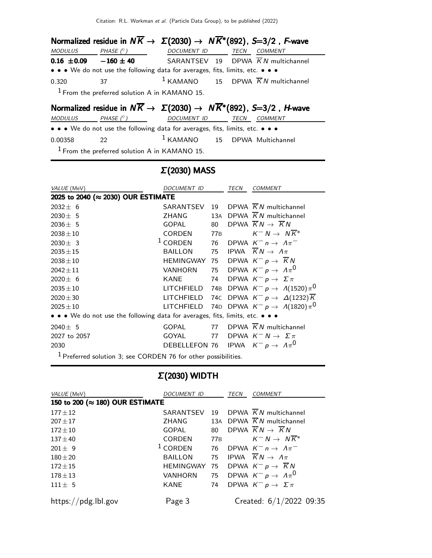| Normalized residue in $N\overline{K} \to \Sigma(2030) \to N\overline{K}^*(892)$ , S=3/2, F-wave |                                                                               |                  |  |  |                                                 |  |
|-------------------------------------------------------------------------------------------------|-------------------------------------------------------------------------------|------------------|--|--|-------------------------------------------------|--|
| MODULUS                                                                                         | PHASE $(^\circ)$                                                              | DOCUMENT ID TECN |  |  | COMMENT                                         |  |
| $0.16 \pm 0.09 -160 \pm 40$                                                                     |                                                                               |                  |  |  | SARANTSEV 19 DPWA $\overline{K}N$ multichannel  |  |
|                                                                                                 | • • • We do not use the following data for averages, fits, limits, etc. • • • |                  |  |  |                                                 |  |
| 0.320                                                                                           | 37                                                                            |                  |  |  | $1$ KAMANO 15 DPWA $\overline{K}N$ multichannel |  |
| $1$ From the preferred solution A in KAMANO 15.                                                 |                                                                               |                  |  |  |                                                 |  |
|                                                                                                 |                                                                               |                  |  |  |                                                 |  |

# Normalized residue in  $N\overline{K} \rightarrow \Sigma(2030) \rightarrow N\overline{K}$ \* $(892)$ , S=3/2, H-wave

MODULUS PHASE (°) DOCUMENT ID TECN COMMENT

• • • We do not use the following data for averages, fits, limits, etc. • • •

0.00358 22 <sup>1</sup> KAMANO 15 DPWA Multichannel

From the preferred solution A in KAMANO 15.

#### Σ(2030) MASS

| VALUE (MeV)                                                                                                                                                                                                                                                                                                         | <b>DOCUMENT ID</b>                           |                 | TECN | COMMENT                                               |
|---------------------------------------------------------------------------------------------------------------------------------------------------------------------------------------------------------------------------------------------------------------------------------------------------------------------|----------------------------------------------|-----------------|------|-------------------------------------------------------|
| 2025 to 2040 (≈ 2030) OUR ESTIMATE                                                                                                                                                                                                                                                                                  |                                              |                 |      |                                                       |
| $2032 \pm 6$                                                                                                                                                                                                                                                                                                        | SARANTSEV                                    | 19              |      | DPWA $KN$ multichannel                                |
| $2030 \pm 5$                                                                                                                                                                                                                                                                                                        | ZHANG                                        | 13A             |      | DPWA $KN$ multichannel                                |
| $2036 \pm 5$                                                                                                                                                                                                                                                                                                        | GOPAL                                        | 80              |      | DPWA $KN \rightarrow KN$                              |
| $2038 \pm 10$                                                                                                                                                                                                                                                                                                       | CORDEN                                       | 77 <sub>B</sub> |      | $K^- N \rightarrow N K^*$                             |
| $2030 \pm 3$                                                                                                                                                                                                                                                                                                        | $1$ CORDEN                                   | 76              |      | DPWA $K^- n \rightarrow \Lambda \pi^-$                |
| $2035 \pm 15$                                                                                                                                                                                                                                                                                                       | <b>BAILLON</b>                               | 75              |      | IPWA $\overline{K}N \rightarrow \Lambda \pi$          |
| $2038 \pm 10$                                                                                                                                                                                                                                                                                                       | <b>HEMINGWAY</b>                             | 75              |      | DPWA $K^- p \rightarrow \overline{K} N$               |
| $2042 \pm 11$                                                                                                                                                                                                                                                                                                       | <b>VANHORN</b>                               | 75              |      | DPWA $K^ p \rightarrow A \pi^0$                       |
| $2020 \pm 6$                                                                                                                                                                                                                                                                                                        | <b>KANE</b>                                  | 74              |      | DPWA $K^- p \rightarrow \Sigma \pi$                   |
| $2035 \pm 10$                                                                                                                                                                                                                                                                                                       | LITCHFIELD                                   | 74B             |      | DPWA $K^- p \rightarrow \Lambda(1520) \pi^0$          |
| $2020 \pm 30$                                                                                                                                                                                                                                                                                                       | LITCHFIELD                                   |                 |      | 74C DPWA $K^-p \to \Delta(1232)\overline{K}$          |
| $2025 \pm 10$                                                                                                                                                                                                                                                                                                       |                                              |                 |      | LITCHFIELD 74D DPWA $K^- p \rightarrow A(1820) \pi^0$ |
| • • • We do not use the following data for averages, fits, limits, etc. • • •                                                                                                                                                                                                                                       |                                              |                 |      |                                                       |
| $2040 \pm 5$                                                                                                                                                                                                                                                                                                        | <b>GOPAL</b>                                 |                 |      | 77 DPWA $\overline{K}N$ multichannel                  |
| 2027 to 2057                                                                                                                                                                                                                                                                                                        | GOYAL                                        | 77              |      | DPWA $K^- N \to \Sigma \pi$                           |
| 2030                                                                                                                                                                                                                                                                                                                | DEBELLEFON 76 IPWA $K^- p \to \Lambda \pi^0$ |                 |      |                                                       |
| $\frac{1}{2}$ $\frac{1}{2}$ $\frac{1}{2}$ $\frac{1}{2}$ $\frac{1}{2}$ $\frac{1}{2}$ $\frac{1}{2}$ $\frac{1}{2}$ $\frac{1}{2}$ $\frac{1}{2}$ $\frac{1}{2}$ $\frac{1}{2}$ $\frac{1}{2}$ $\frac{1}{2}$ $\frac{1}{2}$ $\frac{1}{2}$ $\frac{1}{2}$ $\frac{1}{2}$ $\frac{1}{2}$ $\frac{1}{2}$ $\frac{1}{2}$ $\frac{1}{2}$ |                                              | .               |      |                                                       |

<sup>1</sup> Preferred solution 3; see CORDEN 76 for other possibilities.

#### Σ(2030) WIDTH

| VALUE (MeV)                     | <b>DOCUMENT ID</b> |     | <b>TECN</b> | <b>COMMENT</b>                                 |  |  |  |
|---------------------------------|--------------------|-----|-------------|------------------------------------------------|--|--|--|
| 150 to 200 (≈ 180) OUR ESTIMATE |                    |     |             |                                                |  |  |  |
| $177 \pm 12$                    | SARANTSEV          | 19  |             | DPWA $\overline{K}N$ multichannel              |  |  |  |
| $207 + 17$                      | <b>ZHANG</b>       |     |             | 13A DPWA $\overline{K}N$ multichannel          |  |  |  |
| $172 \pm 10$                    | GOPAL              | 80  |             | DPWA $\overline{K}N \rightarrow \overline{K}N$ |  |  |  |
| $137 + 40$                      | <b>CORDEN</b>      | 77B |             | $K^- N \rightarrow N \overline{K}^*$           |  |  |  |
| $201 + 9$                       | $1$ CORDEN         | 76  |             | DPWA $K^- n \rightarrow \Lambda \pi^-$         |  |  |  |
| $180 + 20$                      | <b>BAILLON</b>     | 75  |             | IPWA $\overline{K}N \rightarrow \Lambda \pi$   |  |  |  |
| $172 \pm 15$                    | <b>HEMINGWAY</b>   | 75  |             | DPWA $K^- p \rightarrow \overline{K} N$        |  |  |  |
| $178 + 13$                      | <b>VANHORN</b>     | 75  |             | DPWA $K^- p \to \Lambda \pi^0$                 |  |  |  |
| $111 \pm 5$                     | KANE               | 74  |             | DPWA $K^- p \rightarrow \Sigma \pi$            |  |  |  |
| https://pdg.lbl.gov             | Page 3             |     |             | Created: $6/1/2022$ 09:35                      |  |  |  |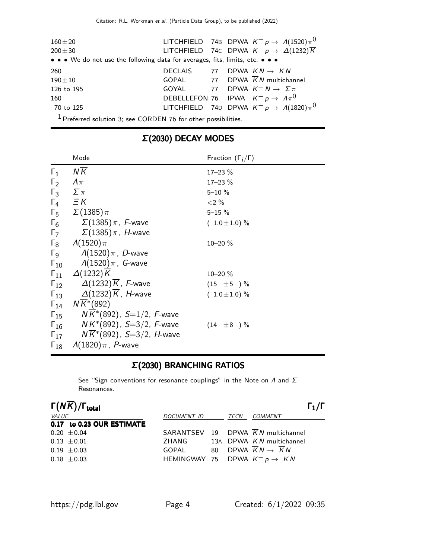| $160 + 20$<br>$200 + 30$<br>• • • We do not use the following data for averages, fits, limits, etc. • • • |                                                                                                   |  |  | LITCHFIELD 74B DPWA $K^- p \rightarrow A(1520) \pi^0$<br>LITCHFIELD 74C DPWA $K^- p \to \Delta(1232) \overline{K}$ |  |
|-----------------------------------------------------------------------------------------------------------|---------------------------------------------------------------------------------------------------|--|--|--------------------------------------------------------------------------------------------------------------------|--|
| 260<br>$190 + 10$<br>126 to 195                                                                           | DECLAIS 77 DPWA $\overline{K}N \rightarrow \overline{K}N$<br>GOYAL 77 DPWA $K^- N \to \Sigma \pi$ |  |  | GOPAL 77 DPWA $\overline{K}N$ multichannel                                                                         |  |
| 160<br>70 to 125                                                                                          | DEBELLEFON 76 IPWA $K^- p \rightarrow A \pi^0$                                                    |  |  | LITCHFIELD 74D DPWA $K^- p \rightarrow A(1820) \pi^0$                                                              |  |
| $1$ Preferred solution 3; see CORDEN 76 for other possibilities.                                          |                                                                                                   |  |  |                                                                                                                    |  |

|               | Mode                                                      | Fraction $(\Gamma_i/\Gamma)$ |
|---------------|-----------------------------------------------------------|------------------------------|
| $\Gamma_1$    | <b>NK</b>                                                 | $17 - 23 \%$                 |
| $\Gamma_2$    | $\Lambda\pi$                                              | $17 - 23 \%$                 |
| $\Gamma_3$    | $\sum \pi$                                                | $5 - 10 \%$                  |
|               | $\Gamma_4$ $\equiv$ K                                     | ${<}2\%$                     |
|               | $\Gamma_5 \quad \Sigma(1385)\pi$                          | $5 - 15 \%$                  |
| $\Gamma_6$    | $\Sigma(1385)\pi$ , F-wave                                | $(1.0 \pm 1.0) \%$           |
| $\Gamma_7$    | $\Sigma(1385)\pi$ , $H$ -wave                             |                              |
|               | $\Gamma_8$ $\Lambda(1520)\pi$                             | $10 - 20 \%$                 |
|               | $\Gamma$ <sub>9</sub> $\Lambda(1520)\pi$ , <i>D</i> -wave |                              |
|               | $\Gamma_{10}$ $A(1520)\pi$ , G-wave                       |                              |
| $\Gamma_{11}$ | $\Delta(1232)\overline{K}$                                | $10 - 20 \%$                 |
| $\Gamma_{12}$ | $\Delta(1232)K$ , F-wave                                  | $(15 \pm 5) \%$              |
|               | $\Gamma_{13}$ $\Delta(1232)K$ , <i>H</i> -wave            | $(1.0 \pm 1.0) \%$           |
| $\Gamma_{14}$ | $N\overline{K}$ *(892)                                    |                              |
| $\Gamma_{15}$ | $NK*(892)$ , $S=1/2$ , F-wave                             |                              |
| $\Gamma_{16}$ | $NK*(892)$ , S=3/2, F-wave                                | $(14 \pm 8) \%$              |
| $\Gamma_{17}$ | $NK*(892)$ , S=3/2, H-wave                                |                              |
| $\Gamma_{18}$ | $\Lambda(1820)\pi$ , P-wave                               |                              |

# Σ(2030) DECAY MODES

# Σ(2030) BRANCHING RATIOS

See "Sign conventions for resonance couplings" in the Note on  $\Lambda$  and  $\Sigma$ Resonances.

|              | $\Gamma(N\overline{K})/\Gamma_{\rm total}$ |                                                         |  |                                                | $\Gamma_1/\Gamma$ |
|--------------|--------------------------------------------|---------------------------------------------------------|--|------------------------------------------------|-------------------|
| <i>VALUE</i> |                                            | DOCUMENT ID                                             |  | <i>TECN COMMENT</i>                            |                   |
|              | 0.17 to 0.23 OUR ESTIMATE                  |                                                         |  |                                                |                   |
|              | $0.20 \pm 0.04$                            |                                                         |  | SARANTSEV 19 DPWA $\overline{K}N$ multichannel |                   |
|              | $0.13 \pm 0.01$                            | ZHANG                                                   |  | 13A DPWA $\overline{K}N$ multichannel          |                   |
|              | $0.19 \pm 0.03$                            | GOPAL 80 DPWA $\overline{K}N \rightarrow \overline{K}N$ |  |                                                |                   |
|              | $0.18 \pm 0.03$                            | HEMINGWAY 75 DPWA $K^- p \rightarrow \overline{K} N$    |  |                                                |                   |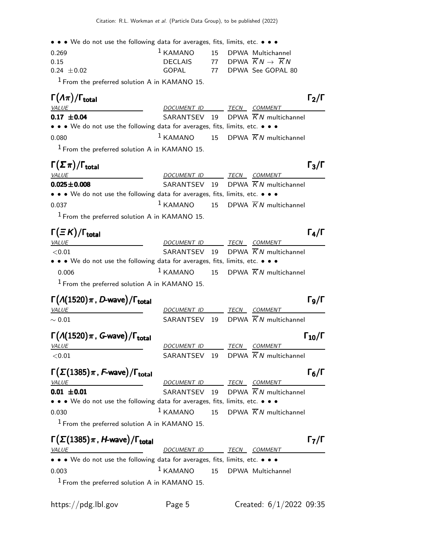• • • We do not use the following data for averages, fits, limits, etc. • • •

| 0.269         |          | $1$ KAMANO $15$ DPWA Multichannel |
|---------------|----------|-----------------------------------|
| 0.15          | DECI AIS | 77 DPWA $KN \rightarrow KN$       |
| $0.24 + 0.02$ | GOPAL    | 77  DPWA_See GOPAL 80             |
|               |          |                                   |

 $<sup>1</sup>$  From the preferred solution A in KAMANO 15.</sup>

# Γ $(A\pi)/\Gamma_{\text{total}}$  Γ $_2/\Gamma$

| $\Gamma(\Lambda \pi)/\Gamma_{\rm total}$                                                                              |                  |  |                                                 | $\Gamma_2/\Gamma$ |
|-----------------------------------------------------------------------------------------------------------------------|------------------|--|-------------------------------------------------|-------------------|
| <b>VALUE</b>                                                                                                          | DOCUMENT ID TECN |  | <i>COMMENT</i>                                  |                   |
| $0.17 \pm 0.04$                                                                                                       |                  |  | SARANTSEV 19 DPWA $\overline{K}N$ multichannel  |                   |
| $\bullet \bullet \bullet$ We do not use the following data for averages, fits, limits, etc. $\bullet \bullet \bullet$ |                  |  |                                                 |                   |
| 0.080                                                                                                                 |                  |  | $1$ KAMANO 15 DPWA $\overline{K}N$ multichannel |                   |
| $1$ From the preferred solution A in KAMANO 15.                                                                       |                  |  |                                                 |                   |

| $\Gamma(\Sigma \pi)/\Gamma_{\rm total}$                                       |                  |  |                                                 | $\Gamma_3/\Gamma$ |
|-------------------------------------------------------------------------------|------------------|--|-------------------------------------------------|-------------------|
| <u>VALUE</u>                                                                  | DOCUMENT ID TECN |  | COMMENT                                         |                   |
| $0.025 \pm 0.008$                                                             |                  |  | SARANTSEV 19 DPWA $\overline{K}N$ multichannel  |                   |
| • • • We do not use the following data for averages, fits, limits, etc. • • • |                  |  |                                                 |                   |
| 0.037                                                                         |                  |  | $1$ KAMANO 15 DPWA $\overline{K}N$ multichannel |                   |
|                                                                               |                  |  |                                                 |                   |

1 From the preferred solution A in KAMANO 15.

#### $\Gamma(\equiv K)/\Gamma_{\rm total}$  Γ<sub>4</sub>/Γ VALUE DOCUMENT ID TECN COMMENT  $\leq$ 0.01 SARANTSEV 19 DPWA  $\overline{K}N$  multichannel • • • We do not use the following data for averages, fits, limits, etc. • • • 0.006 1 KAMANO 15 DPWA  $\overline{K}N$  multichannel  $1$  From the preferred solution A in KAMANO 15.

 $\Gamma(\Lambda(1520)\pi, D\text{-wave})/\Gamma_{\text{total}}$  Γg/Γ  $\Gamma_9/\Gamma$ VALUE DOCUMENT ID TECN COMMENT  $\sim 0.01$  SARANTSEV 19 DPWA  $\overline{K}N$  multichannel  $\Gamma(\Lambda(1520)\pi$ , G-wave)/Γ<sub>total</sub> Γ<sub>10</sub>/Γ VALUE 2000 DOCUMENT ID TECN COMMENT  $<$ 0.01 SARANTSEV 19 DPWA  $\overline{K}N$  multichannel  $\Gamma(\Sigma(1385)\pi, F\text{-wave})/\Gamma_{\text{total}}$  Γ<sub>6</sub>/Γ  $\Gamma_6/\Gamma$ VALUE MERIDIE DOCUMENT ID TECN COMMENT **0.01**  $\pm$ **0.01** SARANTSEV 19 DPWA  $\overline{K}N$  multichannel • • • We do not use the following data for averages, fits, limits, etc. • • • 0.030 1 KAMANO 15 DPWA  $\overline{K}N$  multichannel  $1$  From the preferred solution A in KAMANO 15.

# $\Gamma(\Sigma(1385)\pi$ , H-wave)/Γ<sub>total</sub> Γ<sub>7</sub>/Γ VALUE **DOCUMENT ID** TECN COMMENT • • • We do not use the following data for averages, fits, limits, etc. • • • 0.003 1 KAMANO 15 DPWA Multichannel  $<sup>1</sup>$  From the preferred solution A in KAMANO 15.</sup>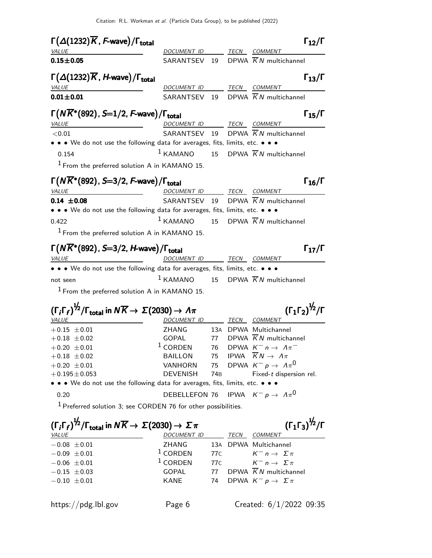| <b>VALUE</b>                                                                                                                                                                                                                                                                                                           | $\Gamma(\Delta(1232)\overline{K}, F$ -wave)/ $\Gamma_{\text{total}}$ |                 |      | $\Gamma_{12}/\Gamma$                                                        |
|------------------------------------------------------------------------------------------------------------------------------------------------------------------------------------------------------------------------------------------------------------------------------------------------------------------------|----------------------------------------------------------------------|-----------------|------|-----------------------------------------------------------------------------|
|                                                                                                                                                                                                                                                                                                                        | DOCUMENT ID TECN COMMENT                                             |                 |      |                                                                             |
| $0.15 \pm 0.05$                                                                                                                                                                                                                                                                                                        | SARANTSEV 19                                                         |                 |      | DPWA $\overline{K}N$ multichannel                                           |
| $\Gamma(\Delta(1232)\overline{K}$ , <i>H</i> -wave)/ $\Gamma_{\text{total}}$                                                                                                                                                                                                                                           |                                                                      |                 |      | $\Gamma_{13}/\Gamma$                                                        |
| VALUE                                                                                                                                                                                                                                                                                                                  | DOCUMENT ID TECN COMMENT                                             |                 |      |                                                                             |
| $0.01 + 0.01$                                                                                                                                                                                                                                                                                                          | SARANTSEV 19                                                         |                 |      | DPWA $\overline{K}N$ multichannel                                           |
| $\Gamma(N\overline{K}^*(892)$ , S=1/2, F-wave)/ $\Gamma_{\rm total}$                                                                                                                                                                                                                                                   |                                                                      |                 |      | $\Gamma_{15}/\Gamma$                                                        |
| <b>VALUE</b>                                                                                                                                                                                                                                                                                                           | DOCUMENT ID                                                          |                 |      | TECN COMMENT                                                                |
| < 0.01                                                                                                                                                                                                                                                                                                                 | SARANTSEV 19                                                         |                 |      | DPWA $\overline{K}N$ multichannel                                           |
| • • • We do not use the following data for averages, fits, limits, etc. • • •                                                                                                                                                                                                                                          |                                                                      |                 |      |                                                                             |
| 0.154                                                                                                                                                                                                                                                                                                                  | $1$ KAMANO                                                           |                 |      | 15 DPWA $\overline{K}N$ multichannel                                        |
| <sup>1</sup> From the preferred solution A in KAMANO 15.                                                                                                                                                                                                                                                               |                                                                      |                 |      |                                                                             |
| $\Gamma\big(N\overline{K}^*(892), S\!\!=\!\!3/2, F\!\text{-}\mathsf{wave}\big)/\Gamma_\mathsf{total}$                                                                                                                                                                                                                  |                                                                      |                 |      | $\Gamma_{16}/\Gamma$                                                        |
| <i>VALUE</i>                                                                                                                                                                                                                                                                                                           | DOCUMENT ID                                                          |                 |      | TECN COMMENT                                                                |
| $0.14 \pm 0.08$                                                                                                                                                                                                                                                                                                        | SARANTSEV 19                                                         |                 |      | DPWA $KN$ multichannel                                                      |
| • • • We do not use the following data for averages, fits, limits, etc. • • •                                                                                                                                                                                                                                          |                                                                      |                 |      |                                                                             |
| 0.422                                                                                                                                                                                                                                                                                                                  | $1$ KAMANO                                                           | 15              |      | DPWA $\overline{K}N$ multichannel                                           |
| $1$ From the preferred solution A in KAMANO 15.                                                                                                                                                                                                                                                                        |                                                                      |                 |      |                                                                             |
|                                                                                                                                                                                                                                                                                                                        |                                                                      |                 |      |                                                                             |
|                                                                                                                                                                                                                                                                                                                        |                                                                      |                 |      |                                                                             |
|                                                                                                                                                                                                                                                                                                                        |                                                                      |                 | TECN | $\Gamma_{17}/\Gamma$<br><i>COMMENT</i>                                      |
|                                                                                                                                                                                                                                                                                                                        | DOCUMENT ID                                                          |                 |      |                                                                             |
|                                                                                                                                                                                                                                                                                                                        | $1$ KAMANO                                                           |                 |      |                                                                             |
|                                                                                                                                                                                                                                                                                                                        |                                                                      |                 |      | 15 DPWA $\overline{K}N$ multichannel                                        |
| $1$ From the preferred solution A in KAMANO 15.                                                                                                                                                                                                                                                                        |                                                                      |                 |      |                                                                             |
| $\Gamma(N\overline{K}^*(892)$ , S=3/2, H-wave)/ $\Gamma_{\rm total}$<br><b>VALUE</b><br>• • • We do not use the following data for averages, fits, limits, etc. • • •<br>not seen<br>$(\Gamma_i \Gamma_f)^{\frac{1}{2}} / \Gamma_{\text{total}}$ in $N \overline{K} \rightarrow \Sigma (2030) \rightarrow \Lambda \pi$ |                                                                      |                 |      | $(\Gamma_1 \Gamma_2)^{\frac{1}{2}} / \Gamma$                                |
|                                                                                                                                                                                                                                                                                                                        | DOCUMENT ID                                                          |                 |      | TECN COMMENT                                                                |
|                                                                                                                                                                                                                                                                                                                        | <b>ZHANG</b><br>GOPAL                                                | 77              |      | 13A DPWA Multichannel                                                       |
|                                                                                                                                                                                                                                                                                                                        | $1$ CORDEN                                                           | 76              |      | DPWA $\overline{K}N$ multichannel<br>DPWA $K^- n \rightarrow \Lambda \pi^-$ |
|                                                                                                                                                                                                                                                                                                                        | <b>BAILLON</b>                                                       | 75              |      | IPWA $\overline{K}N \rightarrow \Lambda \pi$                                |
|                                                                                                                                                                                                                                                                                                                        | <b>VANHORN</b>                                                       | 75              |      | DPWA $K^- p \to \Lambda \pi^0$                                              |
|                                                                                                                                                                                                                                                                                                                        | <b>DEVENISH</b>                                                      | 74 <sub>B</sub> |      | Fixed-t dispersion rel.                                                     |
|                                                                                                                                                                                                                                                                                                                        |                                                                      |                 |      |                                                                             |
| VALUE<br>$+0.15 \pm 0.01$<br>$+0.18 \pm 0.02$<br>$+0.20 \pm 0.01$<br>$+0.18 \pm 0.02$<br>$+0.20 \pm 0.01$<br>$+0.195 \pm 0.053$<br>• • • We do not use the following data for averages, fits, limits, etc. • • •<br>0.20                                                                                               | DEBELLEFON 76                                                        |                 |      | IPWA $K^-p\rightarrow\ \Lambda\pi^0$                                        |
|                                                                                                                                                                                                                                                                                                                        |                                                                      |                 |      |                                                                             |
| <sup>1</sup> Preferred solution 3; see CORDEN 76 for other possibilities.<br>$(\Gamma_i \Gamma_f)^{\frac{1}{2}} / \Gamma_{\text{total}}$ in $N \overline{K} \rightarrow \Sigma (2030) \rightarrow \Sigma \pi$                                                                                                          |                                                                      |                 |      | $(\Gamma_1 \Gamma_3)^{\frac{1}{2}} / \Gamma$                                |

| $\mathbf{v} \cdot \mathbf{r} \cdot \mathbf{r}$ . total $\mathbf{v} \cdot \mathbf{r} \cdot \mathbf{r}$ . $\mathbf{v} \cdot \mathbf{r} \cdot \mathbf{r}$ |             |  |                                      |
|--------------------------------------------------------------------------------------------------------------------------------------------------------|-------------|--|--------------------------------------|
| <i>VALUE</i>                                                                                                                                           | DOCUMENT ID |  | <i>TECN COMMENT</i>                  |
| $-0.08 \pm 0.01$                                                                                                                                       | ZHANG       |  | 13A DPWA Multichannel                |
| $-0.09 \pm 0.01$                                                                                                                                       | $1$ CORDEN  |  | 77C $K^- n \to \Sigma \pi$           |
| $-0.06 \pm 0.01$                                                                                                                                       | $1$ CORDEN  |  | 77C $K^- n \to \Sigma \pi$           |
| $-0.15 \pm 0.03$                                                                                                                                       | GOPAL       |  | 77 DPWA $\overline{K}N$ multichannel |
| $-0.10 \pm 0.01$                                                                                                                                       | KANE        |  | 74 DPWA $K^- p \to \Sigma \pi$       |
|                                                                                                                                                        |             |  |                                      |

https://pdg.lbl.gov Page 6 Created:  $6/1/2022$  09:35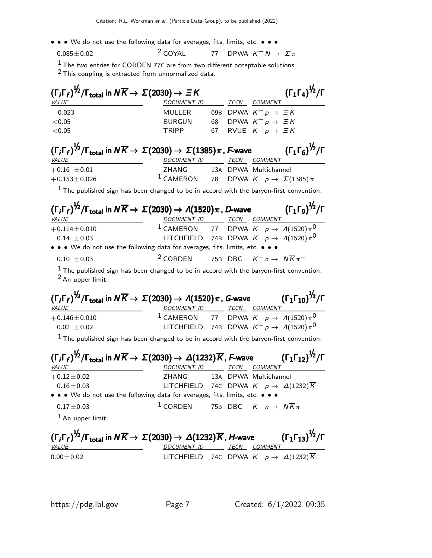- • We do not use the following data for averages, fits, limits, etc. • •
- $-0.085\pm0.02$  2 GOYAL 77 DPWA  $K^- N \to \Sigma \pi$

<sup>1</sup> The two entries for CORDEN 77C are from two different acceptable solutions. 2 This coupling is extracted from unnormalized data.

| $(\Gamma_i \Gamma_f)^{\frac{1}{2}} / \Gamma_{\text{total}}$ in $N \overline{K} \rightarrow \Sigma (2030) \rightarrow \Xi K$             |                    |    |             |                                       | $(\Gamma_1 \Gamma_4)^{\frac{1}{2}} / \Gamma$ |
|-----------------------------------------------------------------------------------------------------------------------------------------|--------------------|----|-------------|---------------------------------------|----------------------------------------------|
| <i>VALUE</i>                                                                                                                            | <b>DOCUMENT ID</b> |    | <b>TECN</b> | <b>COMMENT</b>                        |                                              |
| 0.023                                                                                                                                   | MULLER             |    |             | 69B DPWA $K^- p \rightarrow \equiv K$ |                                              |
| < 0.05                                                                                                                                  | <b>BURGUN</b>      | 68 |             | DPWA $K^- p \rightarrow \Xi K$        |                                              |
| < 0.05                                                                                                                                  | <b>TRIPP</b>       | 67 |             | RVUE $K^- p \rightarrow \Xi K$        |                                              |
| $(\Gamma_i\Gamma_f)^{\frac{1}{2}}/\Gamma_{\text{total}}$ in $N\overline{K}\rightarrow \Sigma(2030)\rightarrow \Sigma(1385)\pi$ , F-wave |                    |    |             |                                       | $(\Gamma_1 \Gamma_6)^{\frac{1}{2}} / \Gamma$ |
| <i>VALUE</i>                                                                                                                            | <b>DOCUMENT ID</b> |    | TECN        | <b>COMMENT</b>                        |                                              |
| $+0.16 \pm 0.01$                                                                                                                        | ZHANG              |    |             | 13A DPWA Multichannel                 |                                              |

 $+0.153\pm0.026$  1 CAMERON 78 DPWA  $K^- p \to \Sigma(1385) \pi$ 

 $<sup>1</sup>$  The published sign has been changed to be in accord with the baryon-first convention.</sup>

| $(\Gamma_i \Gamma_f)^{1/2}/\Gamma_{\text{total}}$ in $N \overline{K} \to \Sigma(2030) \to \Lambda(1520) \pi$ , D-wave $(\Gamma_1 \Gamma_9)^{1/2}/\Gamma$                                          |                                                                                           |  |  |
|---------------------------------------------------------------------------------------------------------------------------------------------------------------------------------------------------|-------------------------------------------------------------------------------------------|--|--|
| <i>VALUE</i>                                                                                                                                                                                      | <u>DOCUMENT ID TECN COMMENT</u>                                                           |  |  |
| $+0.114 \pm 0.010$                                                                                                                                                                                | <sup>1</sup> CAMERON 77 DPWA $K^- p \to A(1520) \pi^0$                                    |  |  |
| $0.14 \pm 0.03$                                                                                                                                                                                   | LITCHFIELD 74B DPWA $K^- p \rightarrow A(1520) \pi^0$                                     |  |  |
| • • • We do not use the following data for averages, fits, limits, etc. • • •                                                                                                                     |                                                                                           |  |  |
| $0.10 \pm 0.03$                                                                                                                                                                                   | <sup>2</sup> CORDEN 75B DBC $K^- n \rightarrow N \overline{K} \pi^-$                      |  |  |
| $2$ An upper limit.                                                                                                                                                                               | $1$ The published sign has been changed to be in accord with the baryon-first convention. |  |  |
| $(\Gamma_i \Gamma_f)^{\frac{1}{2}} / \Gamma_{\text{total}}$ in $N \overline{K} \to \Sigma (2030) \to \Lambda (1520) \pi$ , G-wave $(\Gamma_1 \Gamma_{10})^{\frac{1}{2}} / \Gamma$<br><b>VALUE</b> | DOCUMENT ID TECN COMMENT                                                                  |  |  |
| $+0.146 \pm 0.010$                                                                                                                                                                                | <sup>1</sup> CAMERON 77 DPWA $K^- p \rightarrow A(1520)\pi^0$                             |  |  |
| $0.02 \pm 0.02$                                                                                                                                                                                   | LITCHFIELD 74B DPWA $K^- p \rightarrow A(1520) \pi^0$                                     |  |  |
|                                                                                                                                                                                                   | $1$ The published sign has been changed to be in accord with the baryon-first convention. |  |  |
| $(\Gamma_i \Gamma_f)^{1/2}/\Gamma_{total}$ in $N\overline{K} \to \Sigma(2030) \to \Delta(1232)\overline{K}$ , F-wave $(\Gamma_1 \Gamma_{12})^{1/2}/\Gamma$<br><b>VALUE</b>                        | DOCUMENT ID TECN COMMENT                                                                  |  |  |
| $+0.12 \pm 0.02$                                                                                                                                                                                  | ZHANG 13A DPWA Multichannel                                                               |  |  |
| $0.16 \pm 0.03$                                                                                                                                                                                   | LITCHFIELD 74C DPWA $K^- \rho \rightarrow \; \varDelta (1232) \, \overline{K}$            |  |  |
| • • • We do not use the following data for averages, fits, limits, etc. • • •                                                                                                                     |                                                                                           |  |  |
| $0.17 \pm 0.03$                                                                                                                                                                                   | <sup>1</sup> CORDEN 75B DBC $K^- n \to N \overline{K} \pi^-$                              |  |  |
| $1$ An upper limit.                                                                                                                                                                               |                                                                                           |  |  |
| $(\Gamma_i \Gamma_f)^{1/2}/\Gamma_{\text{total}}$ in $N \overline{K} \to \Sigma(2030) \to \Delta(1232) \overline{K}$ , <i>H</i> -wave $(\Gamma_1 \Gamma_{13})^{1/2}/\Gamma$<br>VALUE              | DOCUMENT ID TECN COMMENT                                                                  |  |  |
| $0.00 \pm 0.02$                                                                                                                                                                                   | LITCHFIELD 74C DPWA $K^- p \to \Delta(1232)\overline{K}$                                  |  |  |